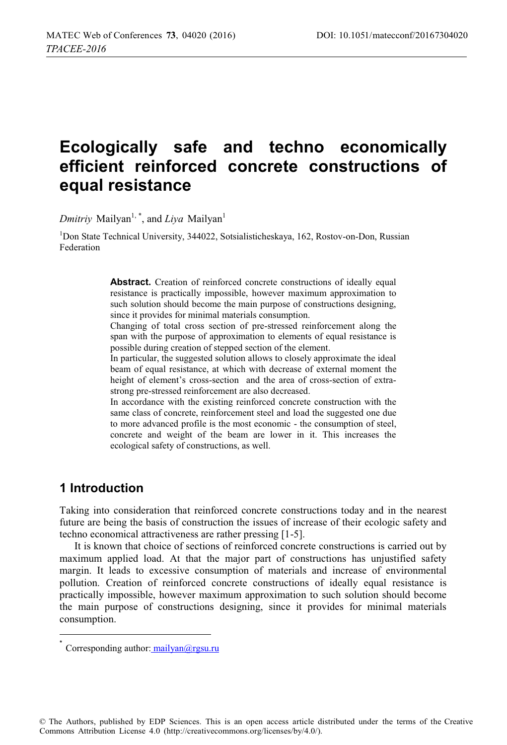# **Ecologically safe and techno economically efficient reinforced concrete constructions of equal resistance**

*Dmitriy* Mailyan<sup>1, \*</sup>, and *Liya* Mailyan<sup>1</sup>

<sup>1</sup>Don State Technical University, 344022, Sotsialisticheskaya, 162, Rostov-on-Don, Russian Federation

> Abstract. Creation of reinforced concrete constructions of ideally equal resistance is practically impossible, however maximum approximation to such solution should become the main purpose of constructions designing, since it provides for minimal materials consumption.

> Changing of total cross section of pre-stressed reinforcement along the span with the purpose of approximation to elements of equal resistance is possible during creation of stepped section of the element.

> In particular, the suggested solution allows to closely approximate the ideal beam of equal resistance, at which with decrease of external moment the height of element's cross-section and the area of cross-section of extrastrong pre-stressed reinforcement are also decreased.

> In accordance with the existing reinforced concrete construction with the same class of concrete, reinforcement steel and load the suggested one due to more advanced profile is the most economic - the consumption of steel, concrete and weight of the beam are lower in it. This increases the ecological safety of constructions, as well.

## **1 Introduction**

 $\overline{a}$ 

Taking into consideration that reinforced concrete constructions today and in the nearest future are being the basis of construction the issues of increase of their ecologic safety and techno economical attractiveness are rather pressing [1-5].

It is known that choice of sections of reinforced concrete constructions is carried out by maximum applied load. At that the major part of constructions has unjustified safety margin. It leads to excessive consumption of materials and increase of environmental pollution. Creation of reinforced concrete constructions of ideally equal resistance is practically impossible, however maximum approximation to such solution should become the main purpose of constructions designing, since it provides for minimal materials consumption.

Corresponding author:  $\frac{\text{mailyan}(a)\text{rgsu} \cdot \text{ru}}{\text{longx} \cdot \text{ru}}$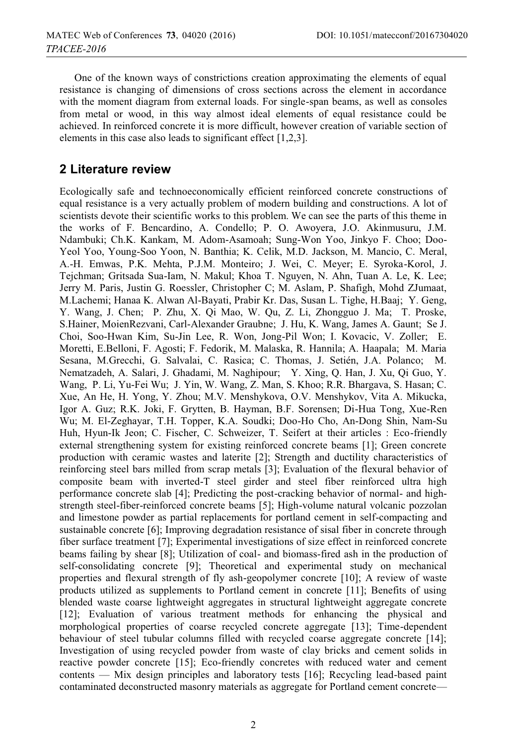One of the known ways of constrictions creation approximating the elements of equal resistance is changing of dimensions of cross sections across the element in accordance with the moment diagram from external loads. For single-span beams, as well as consoles from metal or wood, in this way almost ideal elements of equal resistance could be achieved. In reinforced concrete it is more difficult, however creation of variable section of elements in this case also leads to significant effect [1,2,3].

### **2 Literature review**

Ecologically safe and technoeconomically efficient reinforced concrete constructions of equal resistance is a very actually problem of modern building and constructions. A lot of scientists devote their scientific works to this problem. We can see the parts of this theme in the works of F. Bencardino, A. Condello; P. O. Awoyera, J.O. Akinmusuru, J.M. Ndambuki; Ch.K. Kankam, M. Adom-Asamoah; Sung-Won Yoo, Jinkyo F. Choo; Doo-Yeol Yoo, Young-Soo Yoon, N. Banthia; K. Celik, M.D. Jackson, M. Mancio, C. Meral, A.-H. Emwas, P.K. Mehta, P.J.M. Monteiro; J. Wei, C. Meyer; E. Syroka-Korol, J. Tejchman; Gritsada Sua-Iam, N. Makul; Khoa T. Nguyen, N. Ahn, Tuan A. Le, K. Lee; Jerry M. Paris, Justin G. Roessler, Christopher C; M. Aslam, P. Shafigh, Mohd ZJumaat, M.Lachemi; Hanaa K. Alwan Al-Bayati, Prabir Kr. Das, Susan L. Tighe, H.Baaj; Y. Geng, Y. Wang, J. Chen; P. Zhu, X. Qi Mao, W. Qu, Z. Li, Zhongguo J. Ma; T. Proske, S.Hainer, MoienRezvani, Carl-Alexander Graubne; J. Hu, K. Wang, James A. Gaunt; Se J. Choi, Soo-Hwan Kim, Su-Jin Lee, R. Won, Jong-Pil Won; I. Kovacic, V. Zoller; E. Moretti, E.Belloni, F. Agosti; F. Fedorik, M. Malaska, R. Hannila; A. Haapala; M. Maria Sesana, M.Grecchi, G. Salvalai, C. Rasica; C. Thomas, J. Setién, J.A. Polanco; M. Nematzadeh, A. Salari, J. Ghadami, M. Naghipour; Y. Xing, Q. Han, J. Xu, Qi Guo, Y. Wang, P. Li, Yu-Fei Wu; J. Yin, W. Wang, Z. Man, S. Khoo; R.R. Bhargava, S. Hasan; C. Xue, An He, H. Yong, Y. Zhou; M.V. Menshykova, O.V. Menshykov, Vita A. Mikucka, Igor A. Guz; R.K. Joki, F. Grytten, B. Hayman, B.F. Sorensen; Di-Hua Tong, Xue-Ren Wu; M. El-Zeghayar, T.H. Topper, K.A. Soudki; Doo-Ho Cho, An-Dong Shin, Nam-Su Huh, Hyun-Ik Jeon; C. Fischer, C. Schweizer, T. Seifert at their articles : Eco-friendly external strengthening system for existing reinforced concrete beams [1]; Green concrete production with ceramic wastes and laterite [2]; Strength and ductility characteristics of reinforcing steel bars milled from scrap metals [3]; Evaluation of the flexural behavior of composite beam with inverted-T steel girder and steel fiber reinforced ultra high performance concrete slab [4]; Predicting the post-cracking behavior of normal- and highstrength steel-fiber-reinforced concrete beams [5]; High-volume natural volcanic pozzolan and limestone powder as partial replacements for portland cement in self-compacting and sustainable concrete [6]; Improving degradation resistance of sisal fiber in concrete through fiber surface treatment [7]; Experimental investigations of size effect in reinforced concrete beams failing by shear [8]; Utilization of coal- and biomass-fired ash in the production of self-consolidating concrete [9]; Theoretical and experimental study on mechanical properties and flexural strength of fly ash-geopolymer concrete [10]; A review of waste products utilized as supplements to Portland cement in concrete [11]; Benefits of using blended waste coarse lightweight aggregates in structural lightweight aggregate concrete [12]; Evaluation of various treatment methods for enhancing the physical and morphological properties of coarse recycled concrete aggregate [13]; Time-dependent behaviour of steel tubular columns filled with recycled coarse aggregate concrete [14]; Investigation of using recycled powder from waste of clay bricks and cement solids in reactive powder concrete [15]; Eco-friendly concretes with reduced water and cement contents — Mix design principles and laboratory tests [16]; Recycling lead-based paint contaminated deconstructed masonry materials as aggregate for Portland cement concrete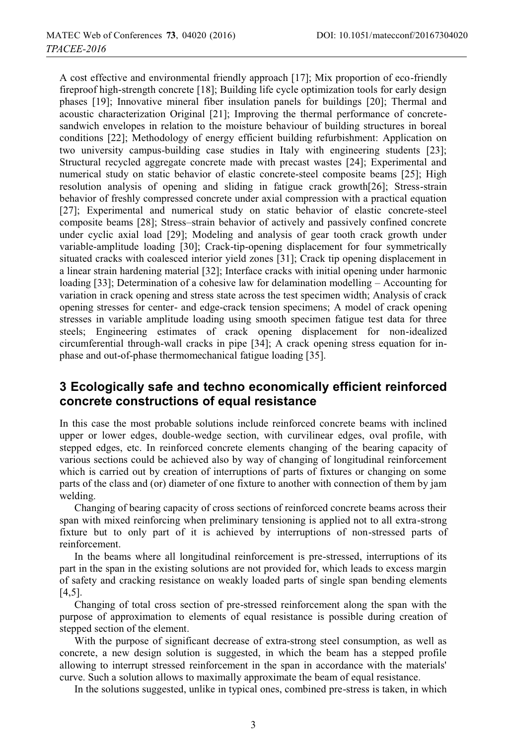A cost effective and environmental friendly approach [17]; Mix proportion of eco-friendly fireproof high-strength concrete [18]; Building life cycle optimization tools for early design phases [19]; Innovative mineral fiber insulation panels for buildings [20]; Thermal and acoustic characterization Original [21]; Improving the thermal performance of concretesandwich envelopes in relation to the moisture behaviour of building structures in boreal conditions [22]; Methodology of energy efficient building refurbishment: Application on two university campus-building case studies in Italy with engineering students [23]; Structural recycled aggregate concrete made with precast wastes [24]; Experimental and numerical study on static behavior of elastic concrete-steel composite beams [25]; High resolution analysis of opening and sliding in fatigue crack growth[26]; Stress-strain behavior of freshly compressed concrete under axial compression with a practical equation [27]; Experimental and numerical study on static behavior of elastic concrete-steel composite beams [28]; Stress–strain behavior of actively and passively confined concrete under cyclic axial load [29]; Modeling and analysis of gear tooth crack growth under variable-amplitude loading [30]; Crack-tip-opening displacement for four symmetrically situated cracks with coalesced interior yield zones [31]; Crack tip opening displacement in a linear strain hardening material [32]; Interface cracks with initial opening under harmonic loading [33]; Determination of a cohesive law for delamination modelling – Accounting for variation in crack opening and stress state across the test specimen width; Analysis of crack opening stresses for center- and edge-crack tension specimens; A model of crack opening stresses in variable amplitude loading using smooth specimen fatigue test data for three steels; Engineering estimates of crack opening displacement for non-idealized circumferential through-wall cracks in pipe [34]; A crack opening stress equation for inphase and out-of-phase thermomechanical fatigue loading [35].

### **3 Ecologically safe and techno economically efficient reinforced concrete constructions of equal resistance**

In this case the most probable solutions include reinforced concrete beams with inclined upper or lower edges, double-wedge section, with curvilinear edges, oval profile, with stepped edges, etc. In reinforced concrete elements changing of the bearing capacity of various sections could be achieved also by way of changing of longitudinal reinforcement which is carried out by creation of interruptions of parts of fixtures or changing on some parts of the class and (or) diameter of one fixture to another with connection of them by jam welding.

Changing of bearing capacity of cross sections of reinforced concrete beams across their span with mixed reinforcing when preliminary tensioning is applied not to all extra-strong fixture but to only part of it is achieved by interruptions of non-stressed parts of reinforcement.

In the beams where all longitudinal reinforcement is pre-stressed, interruptions of its part in the span in the existing solutions are not provided for, which leads to excess margin of safety and cracking resistance on weakly loaded parts of single span bending elements [4,5].

Changing of total cross section of pre-stressed reinforcement along the span with the purpose of approximation to elements of equal resistance is possible during creation of stepped section of the element.

With the purpose of significant decrease of extra-strong steel consumption, as well as concrete, a new design solution is suggested, in which the beam has a stepped profile allowing to interrupt stressed reinforcement in the span in accordance with the materials' curve. Such a solution allows to maximally approximate the beam of equal resistance.

In the solutions suggested, unlike in typical ones, combined pre-stress is taken, in which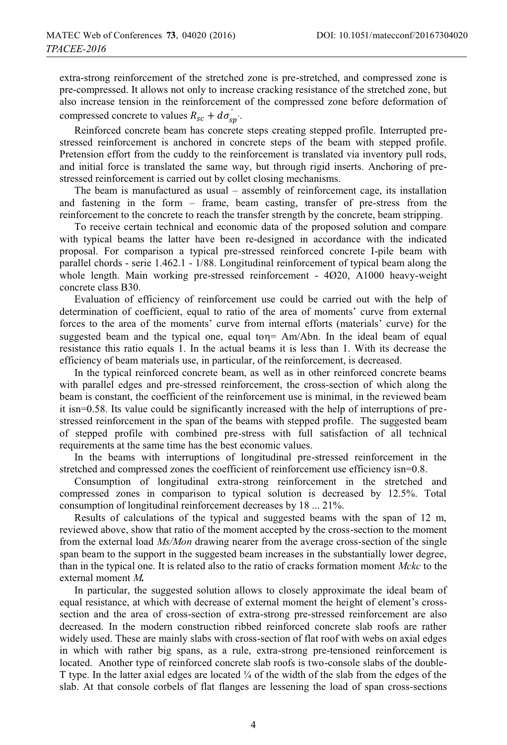extra-strong reinforcement of the stretched zone is pre-stretched, and compressed zone is pre-compressed. It allows not only to increase cracking resistance of the stretched zone, but also increase tension in the reinforcement of the compressed zone before deformation of compressed concrete to values  $R_{sc} + d\sigma'_{sp}$ .

Reinforced concrete beam has concrete steps creating stepped profile. Interrupted prestressed reinforcement is anchored in concrete steps of the beam with stepped profile. Pretension effort from the cuddy to the reinforcement is translated via inventory pull rods, and initial force is translated the same way, but through rigid inserts. Anchoring of prestressed reinforcement is carried out by collet closing mechanisms.

The beam is manufactured as usual – assembly of reinforcement cage, its installation and fastening in the form – frame, beam casting, transfer of pre-stress from the reinforcement to the concrete to reach the transfer strength by the concrete, beam stripping.

To receive certain technical and economic data of the proposed solution and compare with typical beams the latter have been re-designed in accordance with the indicated proposal. For comparison a typical pre-stressed reinforced concrete I-pile beam with parallel chords - serie 1.462.1 - 1/88. Longitudinal reinforcement of typical beam along the whole length. Main working pre-stressed reinforcement - 4Ø20, А1000 heavy-weight concrete class В30.

Evaluation of efficiency of reinforcement use could be carried out with the help of determination of coefficient, equal to ratio of the area of moments' curve from external forces to the area of the moments' curve from internal efforts (materials' curve) for the suggested beam and the typical one, equal ton= Am/Abn. In the ideal beam of equal resistance this ratio equals 1. In the actual beams it is less than 1. With its decrease the efficiency of beam materials use, in particular, of the reinforcement, is decreased.

In the typical reinforced concrete beam, as well as in other reinforced concrete beams with parallel edges and pre-stressed reinforcement, the cross-section of which along the beam is constant, the coefficient of the reinforcement use is minimal, in the reviewed beam it isn=0.58. Its value could be significantly increased with the help of interruptions of prestressed reinforcement in the span of the beams with stepped profile. The suggested beam of stepped profile with combined pre-stress with full satisfaction of all technical requirements at the same time has the best economic values.

In the beams with interruptions of longitudinal pre-stressed reinforcement in the stretched and compressed zones the coefficient of reinforcement use efficiency isn=0.8.

Consumption of longitudinal extra-strong reinforcement in the stretched and compressed zones in comparison to typical solution is decreased by 12.5%. Total consumption of longitudinal reinforcement decreases by 18 ... 21%.

Results of calculations of the typical and suggested beams with the span of 12 m, reviewed above, show that ratio of the moment accepted by the cross-section to the moment from the external load *Ms/Мon* drawing nearer from the average cross-section of the single span beam to the support in the suggested beam increases in the substantially lower degree, than in the typical one. It is related also to the ratio of cracks formation moment *Mckc* to the external moment *M.*

In particular, the suggested solution allows to closely approximate the ideal beam of equal resistance, at which with decrease of external moment the height of element's crosssection and the area of cross-section of extra-strong pre-stressed reinforcement are also decreased. In the modern construction ribbed reinforced concrete slab roofs are rather widely used. These are mainly slabs with cross-section of flat roof with webs on axial edges in which with rather big spans, as a rule, extra-strong pre-tensioned reinforcement is located. Another type of reinforced concrete slab roofs is two-console slabs of the double-T type. In the latter axial edges are located ¼ of the width of the slab from the edges of the slab. At that console corbels of flat flanges are lessening the load of span cross-sections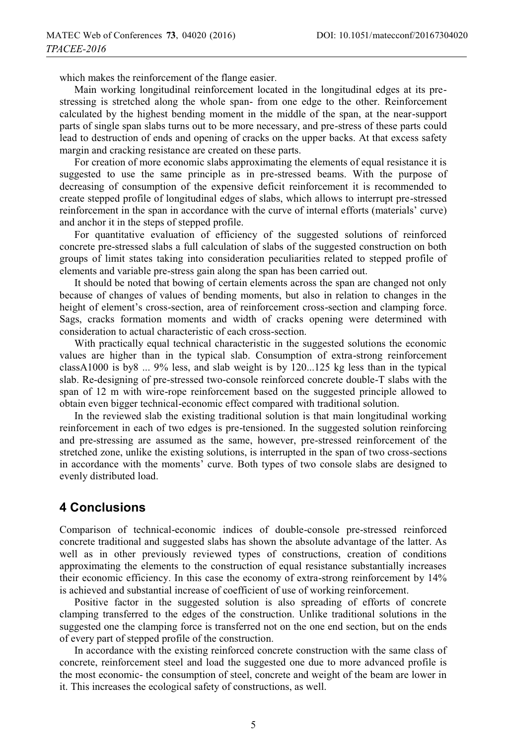which makes the reinforcement of the flange easier.

Main working longitudinal reinforcement located in the longitudinal edges at its prestressing is stretched along the whole span- from one edge to the other. Reinforcement calculated by the highest bending moment in the middle of the span, at the near-support parts of single span slabs turns out to be more necessary, and pre-stress of these parts could lead to destruction of ends and opening of cracks on the upper backs. At that excess safety margin and cracking resistance are created on these parts.

For creation of more economic slabs approximating the elements of equal resistance it is suggested to use the same principle as in pre-stressed beams. With the purpose of decreasing of consumption of the expensive deficit reinforcement it is recommended to create stepped profile of longitudinal edges of slabs, which allows to interrupt pre-stressed reinforcement in the span in accordance with the curve of internal efforts (materials' curve) and anchor it in the steps of stepped profile.

For quantitative evaluation of efficiency of the suggested solutions of reinforced concrete pre-stressed slabs a full calculation of slabs of the suggested construction on both groups of limit states taking into consideration peculiarities related to stepped profile of elements and variable pre-stress gain along the span has been carried out.

It should be noted that bowing of certain elements across the span are changed not only because of changes of values of bending moments, but also in relation to changes in the height of element's cross-section, area of reinforcement cross-section and clamping force. Sags, cracks formation moments and width of cracks opening were determined with consideration to actual characteristic of each cross-section.

With practically equal technical characteristic in the suggested solutions the economic values are higher than in the typical slab. Consumption of extra-strong reinforcement classА1000 is by8 ... 9% less, and slab weight is by 120...125 kg less than in the typical slab. Re-designing of pre-stressed two-console reinforced concrete double-T slabs with the span of 12 m with wire-rope reinforcement based on the suggested principle allowed to obtain even bigger technical-economic effect compared with traditional solution.

In the reviewed slab the existing traditional solution is that main longitudinal working reinforcement in each of two edges is pre-tensioned. In the suggested solution reinforcing and pre-stressing are assumed as the same, however, pre-stressed reinforcement of the stretched zone, unlike the existing solutions, is interrupted in the span of two cross-sections in accordance with the moments' curve. Both types of two console slabs are designed to evenly distributed load.

#### **4 Conclusions**

Comparison of technical-economic indices of double-console pre-stressed reinforced concrete traditional and suggested slabs has shown the absolute advantage of the latter. As well as in other previously reviewed types of constructions, creation of conditions approximating the elements to the construction of equal resistance substantially increases their economic efficiency. In this case the economy of extra-strong reinforcement by 14% is achieved and substantial increase of coefficient of use of working reinforcement.

Positive factor in the suggested solution is also spreading of efforts of concrete clamping transferred to the edges of the construction. Unlike traditional solutions in the suggested one the clamping force is transferred not on the one end section, but on the ends of every part of stepped profile of the construction.

In accordance with the existing reinforced concrete construction with the same class of concrete, reinforcement steel and load the suggested one due to more advanced profile is the most economic- the consumption of steel, concrete and weight of the beam are lower in it. This increases the ecological safety of constructions, as well.

5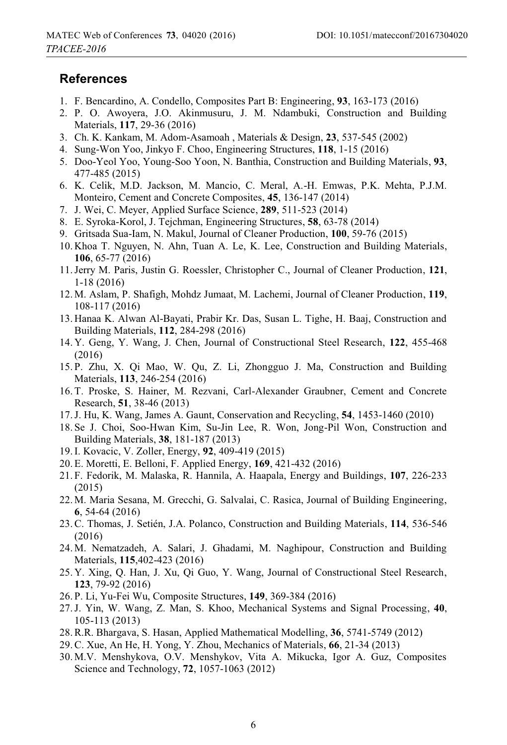#### **References**

- 1. F. Bencardino, A. Condello, Composites Part B: Engineering, **93**, 163-173 (2016)
- 2. P. O. Awoyera, J.O. Akinmusuru, J. M. Ndambuki, Construction and Building Materials, **117**, 29-36 (2016)
- 3. Ch. K. Kankam, M. Adom-Asamoah , Materials & Design, **23**, 537-545 (2002)
- 4. Sung-Won Yoo, Jinkyo F. Choo, Engineering Structures, **118**, 1-15 (2016)
- 5. Doo-Yeol Yoo, Young-Soo Yoon, N. Banthia, Construction and Building Materials, **93**, 477-485 (2015)
- 6. K. Celik, M.D. Jackson, M. Mancio, C. Meral, A.-H. Emwas, P.K. Mehta, P.J.M. Monteiro, Cement and Concrete Composites, **45**, 136-147 (2014)
- 7. J. Wei, C. Meyer, Applied Surface Science, **289**, 511-523 (2014)
- 8. E. Syroka-Korol, J. Tejchman, Engineering Structures, **58**, 63-78 (2014)
- 9. Gritsada Sua-Iam, N. Makul, Journal of Cleaner Production, **100**, 59-76 (2015)
- 10. Khoa T. Nguyen, N. Ahn, Tuan A. Le, K. Lee, Construction and Building Materials, **106**, 65-77 (2016)
- 11. Jerry M. Paris, Justin G. Roessler, Christopher C., Journal of Cleaner Production, **121**, 1-18 (2016)
- 12. M. Aslam, P. Shafigh, Mohdz Jumaat, M. Lachemi, Journal of Cleaner Production, **119**, 108-117 (2016)
- 13. Hanaa K. Alwan Al-Bayati, Prabir Kr. Das, Susan L. Tighe, H. Baaj, Construction and Building Materials, **112**, 284-298 (2016)
- 14. Y. Geng, Y. Wang, J. Chen, Journal of Constructional Steel Research, **122**, 455-468 (2016)
- 15. P. Zhu, X. Qi Mao, W. Qu, Z. Li, Zhongguo J. Ma, Construction and Building Materials, **113**, 246-254 (2016)
- 16. T. Proske, S. Hainer, M. Rezvani, Carl-Alexander Graubner, Cement and Concrete Research, **51**, 38-46 (2013)
- 17. J. Hu, K. Wang, James A. Gaunt, Conservation and Recycling, **54**, 1453-1460 (2010)
- 18. Se J. Choi, Soo-Hwan Kim, Su-Jin Lee, R. Won, Jong-Pil Won, Construction and Building Materials, **38**, 181-187 (2013)
- 19. I. Kovacic, V. Zoller, Energy, **92**, 409-419 (2015)
- 20. E. Moretti, E. Belloni, F. Applied Energy, **169**, 421-432 (2016)
- 21. F. Fedorik, M. Malaska, R. Hannila, A. Haapala, Energy and Buildings, **107**, 226-233 (2015)
- 22. M. Maria Sesana, M. Grecchi, G. Salvalai, C. Rasica, Journal of Building Engineering, **6**, 54-64 (2016)
- 23. C. Thomas, J. Setién, J.A. Polanco, Construction and Building Materials, **114**, 536-546 (2016)
- 24. M. Nematzadeh, A. Salari, J. Ghadami, M. Naghipour, Construction and Building Materials, **115**,402-423 (2016)
- 25. Y. Xing, Q. Han, J. Xu, Qi Guo, Y. Wang, Journal of Constructional Steel Research, **123**, 79-92 (2016)
- 26. P. Li, Yu-Fei Wu, Composite Structures, **149**, 369-384 (2016)
- 27. J. Yin, W. Wang, Z. Man, S. Khoo, Mechanical Systems and Signal Processing, **40**, 105-113 (2013)
- 28. R.R. Bhargava, S. Hasan, Applied Mathematical Modelling, **36**, 5741-5749 (2012)
- 29. C. Xue, An He, H. Yong, Y. Zhou, Mechanics of Materials, **66**, 21-34 (2013)
- 30. M.V. Menshykova, O.V. Menshykov, Vita A. Mikucka, Igor A. Guz, Composites Science and Technology, **72**, 1057-1063 (2012)